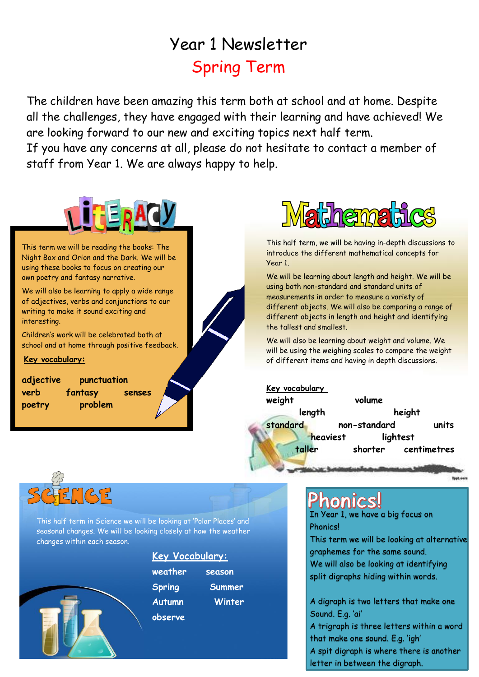## Year 1 Newsletter Spring Term

The children have been amazing this term both at school and at home. Despite all the challenges, they have engaged with their learning and have achieved! We are looking forward to our new and exciting topics next half term.

If you have any concerns at all, please do not hesitate to contact a member of staff from Year 1. We are always happy to help.



This term we will be reading the books: The Night Box and Orion and the Dark. We will be using these books to focus on creating our own poetry and fantasy narrative.

We will also be learning to apply a wide range of adjectives, verbs and conjunctions to our writing to make it sound exciting and interesting.

Children's work will be celebrated both at school and at home through positive feedback.

#### **Key vocabulary:**

**adjective punctuation verb fantasy senses poetry problem**



This half term, we will be having in-depth discussions to introduce the different mathematical concepts for Year 1.

We will be learning about length and height. We will be using both non-standard and standard units of measurements in order to measure a variety of different objects. We will also be comparing a range of different objects in length and height and identifying the tallest and smallest.

We will also be learning about weight and volume. We will be using the weighing scales to compare the weight of different items and having in depth discussions.

**Key vocabulary** 

**weight volume** 

**length height standard non-standard units heaviest** lightest **taller shorter centimetres**

livet.com



This half term in Science we will be looking at 'Polar Places' and seasonal changes. We will be looking closely at how the weather changes within each season.



| <u>Key Vocabulary:</u> |               |
|------------------------|---------------|
| weather                | season        |
| <b>Spring</b>          | <b>Summer</b> |
| <b>Autumn</b>          | Winter        |
| observe                |               |

### **Phonics!**

In Year 1, we have a big focus on **Phonics!** 

This term we will be looking at alternative graphemes for the same sound. We will also be looking at identifying split digraphs hiding within words.

A digraph is two letters that make one Sound. E.g. 'ai'

A trigraph is three letters within a word that make one sound. E.g. 'igh'

A spit digraph is where there is another letter in between the digraph.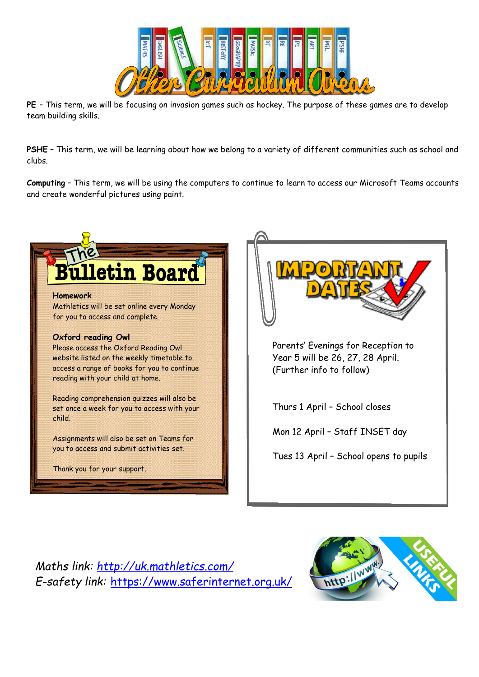

**PE** – This term, we will be focusing on invasion games such as hockey. The purpose of these games are to develop team building skills.

**PSHE** – This term, we will be learning about how we belong to a variety of different communities such as school and clubs.

**Computing** – This term, we will be using the computers to continue to learn to access our Microsoft Teams accounts and create wonderful pictures using paint.



*Maths link:<http://uk.mathletics.com/> E-safety link:* [https://www.saferinternet.org.uk/](https://eur03.safelinks.protection.outlook.com/?url=https%3A%2F%2Fwww.saferinternet.org.uk%2F&data=04%7C01%7CSHorner%40stchads.trinitymat.org%7C0ec6d696a33f478122bb08d8d7ea1a9b%7Cae3d210892e840b79cfc9b463f21fd37%7C1%7C0%7C637496747756152124%7CUnknown%7CTWFpbGZsb3d8eyJWIjoiMC4wLjAwMDAiLCJQIjoiV2luMzIiLCJBTiI6Ik1haWwiLCJXVCI6Mn0%3D%7C1000&sdata=qu8ulizpkIAsubbhFd1Lr6Tq1BIQ%2BtzDIN5eqINu0UQ%3D&reserved=0)